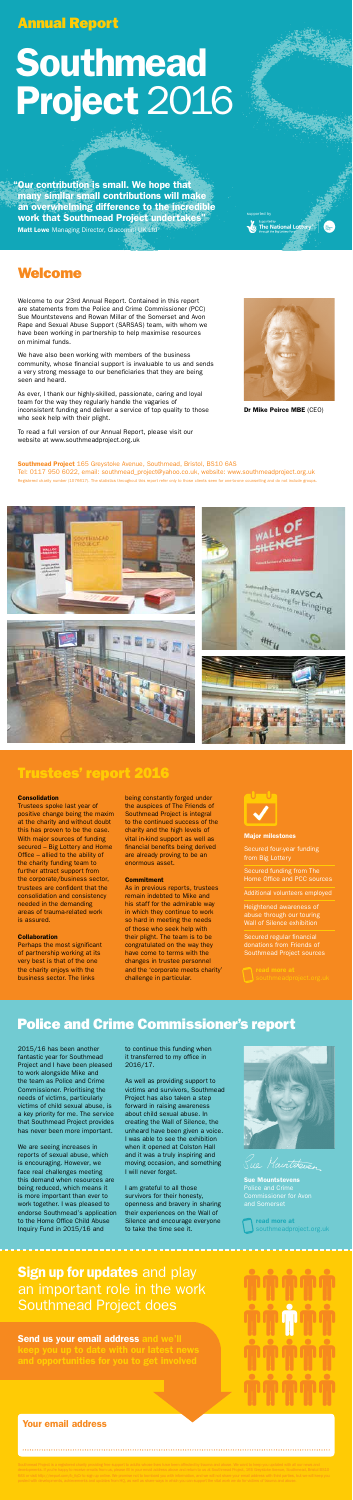Welcome to our 23rd Annual Report. Contained in this report are statements from the Police and Crime Commissioner (PCC) Sue Mountstevens and Rowan Millar of the Somerset and Avon Rape and Sexual Abuse Support (SARSAS) team, with whom we have been working in partnership to help maximise resources on minimal funds.

We have also been working with members of the business community, whose financial support is invaluable to us and sends a very strong message to our beneficiaries that they are being seen and heard.

As ever, I thank our highly-skilled, passionate, caring and loyal team for the way they regularly handle the vagaries of inconsistent funding and deliver a service of top quality to those who seek help with their plight.

To read a full version of our Annual Report, please visit our website at www.southmeadproject.org.uk



**Co** The National Lottery **Company** 

### Welcome

Dr Mike Peirce MBE (CEO)

Southmead Project 165 Greystoke Avenue, Southmead, Bristol, BS10 6AS Tel: 0117 950 6022, email: southmead\_project@yahoo.co.uk, website: www.southmeadproject.org.uk Registered charity number (1076617). The statistics throughout this report refer only to those clients seen for one-to-one counselling and do not include groups.









Trustees spoke last year of positive change being the maxim at the charity and without doubt this has proven to be the case. With major sources of funding secured – Big Lottery and Home Office – allied to the ability of the charity funding team to further attract support from the corporate/business sector, trustees are confident that the consolidation and consistency needed in the demanding areas of trauma-related work is assured.

### Collaboration

Perhaps the most significant of partnership working at its very best is that of the one the charity enjoys with the business sector. The links

being constantly forged under the auspices of The Friends of Southmead Project is integral to the continued success of the charity and the high levels of vital in-kind support as well as financial benefits being derived are already proving to be an enormous asset.

#### **Commitment**

# **Sign up for updates and play** an important role in the work Southmead Project does

Send us your email address and we'll



As in previous reports, trustees remain indebted to Mike and his staff for the admirable way in which they continue to work so hard in meeting the needs of those who seek help with their plight. The team is to be congratulated on the way they have come to terms with the changes in trustee personnel and the 'corporate meets charity' challenge in particular.



### Trustees' report 2016

#### **Consolidation**

### Police and Crime Commissioner's report

 "Our contribution is small. We hope that many similar small contributions will make an overwhelming difference to the incredible work that Southmead Project undertakes" Matt Lowe Managing Director, Giacomini UK Ltd<sup>377</sup>

2015/16 has been another fantastic year for Southmead Project and I have been pleased to work alongside Mike and the team as Police and Crime Commissioner. Prioritising the needs of victims, particularly victims of child sexual abuse, is a key priority for me. The service that Southmead Project provides has never been more important.

We are seeing increases in reports of sexual abuse, which is encouraging. However, we face real challenges meeting this demand when resources are being reduced, which means it is more important than ever to work together. I was pleased to endorse Southmead's application to the Home Office Child Abuse Inquiry Fund in 2015/16 and

to continue this funding when it transferred to my office in 2016/17.

As well as providing support to victims and survivors, Southmead Project has also taken a step forward in raising awareness about child sexual abuse. In creating the Wall of Silence, the unheard have been given a voice. I was able to see the exhibition when it opened at Colston Hall and it was a truly inspiring and moving occasion, and something I will never forget.

I am grateful to all those survivors for their honesty, openness and bravery in sharing their experiences on the Wall of Silence and encourage everyone to take the time see it.



Sue Maintetreven

# Southmead Project 2016

### Your email address

supported by

#### Major milestones

Secured four-year funding from Big Lottery

Secured funding from The Home Office and PCC sources

Additional volunteers employed

Heightened awareness of Wall of Silence exhibition

Secured regular financial donations from Friends of Southmead Project sources

Sue Mountstevens Police and Crime

read more at southmeadproject.org.uk

### Annual Report